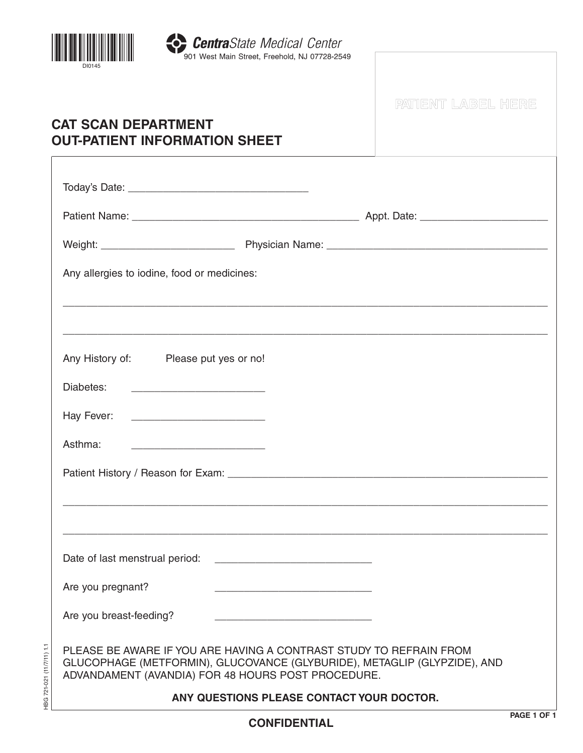

HBG 721-021 (11/7/11) 1.1

HBG 721-021 (11/7/11) 1.1

|                                                                                                                                                                                                      | PATIENT LABEL HERE |
|------------------------------------------------------------------------------------------------------------------------------------------------------------------------------------------------------|--------------------|
| <b>CAT SCAN DEPARTMENT</b><br><b>OUT-PATIENT INFORMATION SHEET</b>                                                                                                                                   |                    |
|                                                                                                                                                                                                      |                    |
|                                                                                                                                                                                                      |                    |
|                                                                                                                                                                                                      |                    |
|                                                                                                                                                                                                      |                    |
| Any allergies to iodine, food or medicines:                                                                                                                                                          |                    |
|                                                                                                                                                                                                      |                    |
| Any History of: Please put yes or no!                                                                                                                                                                |                    |
| Diabetes:                                                                                                                                                                                            |                    |
| Hay Fever:                                                                                                                                                                                           |                    |
| Asthma:                                                                                                                                                                                              |                    |
|                                                                                                                                                                                                      |                    |
|                                                                                                                                                                                                      |                    |
|                                                                                                                                                                                                      |                    |
| Date of last menstrual period:<br><u> 2000 - Jan James James Jan James James James James James James James James James James James James James Jam</u>                                               |                    |
| Are you pregnant?                                                                                                                                                                                    |                    |
| Are you breast-feeding?                                                                                                                                                                              |                    |
| PLEASE BE AWARE IF YOU ARE HAVING A CONTRAST STUDY TO REFRAIN FROM<br>GLUCOPHAGE (METFORMIN), GLUCOVANCE (GLYBURIDE), METAGLIP (GLYPZIDE), AND<br>ADVANDAMENT (AVANDIA) FOR 48 HOURS POST PROCEDURE. |                    |
| ANY QUESTIONS PLEASE CONTACT YOUR DOCTOR.                                                                                                                                                            |                    |
|                                                                                                                                                                                                      | <b>PAGF 1 OF</b>   |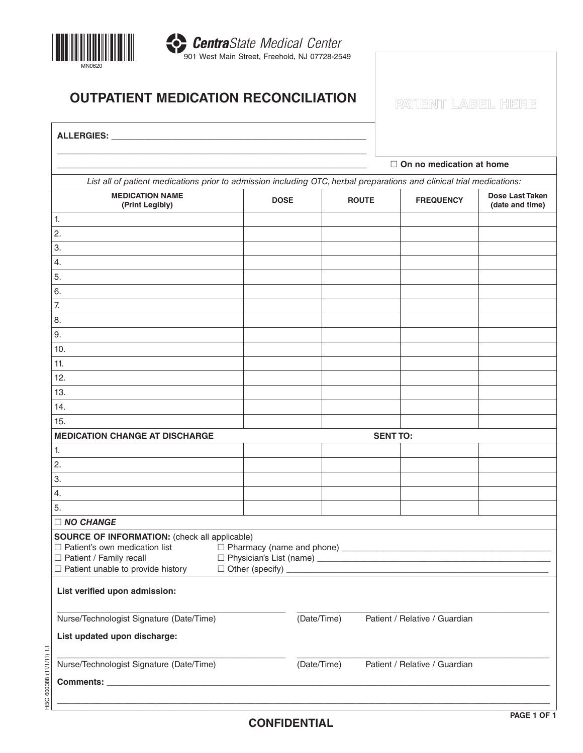

## **OUTPATIENT MEDICATION RECONCILIATION IN PATIENT LABEL HERE**

| ALLERGIES: ____                                                                                                                                                |             |              |                                 |                        |  |
|----------------------------------------------------------------------------------------------------------------------------------------------------------------|-------------|--------------|---------------------------------|------------------------|--|
|                                                                                                                                                                |             |              | $\Box$ On no medication at home |                        |  |
| List all of patient medications prior to admission including OTC, herbal preparations and clinical trial medications:                                          |             |              |                                 |                        |  |
| <b>MEDICATION NAME</b>                                                                                                                                         |             |              |                                 | <b>Dose Last Taken</b> |  |
| (Print Legibly)                                                                                                                                                | <b>DOSE</b> | <b>ROUTE</b> | <b>FREQUENCY</b>                | (date and time)        |  |
| 1.                                                                                                                                                             |             |              |                                 |                        |  |
| 2.                                                                                                                                                             |             |              |                                 |                        |  |
| 3.                                                                                                                                                             |             |              |                                 |                        |  |
| 4.                                                                                                                                                             |             |              |                                 |                        |  |
| 5.                                                                                                                                                             |             |              |                                 |                        |  |
| 6.                                                                                                                                                             |             |              |                                 |                        |  |
| 7.                                                                                                                                                             |             |              |                                 |                        |  |
| 8.                                                                                                                                                             |             |              |                                 |                        |  |
| 9.                                                                                                                                                             |             |              |                                 |                        |  |
| 10.                                                                                                                                                            |             |              |                                 |                        |  |
| 11.                                                                                                                                                            |             |              |                                 |                        |  |
| 12.                                                                                                                                                            |             |              |                                 |                        |  |
| 13.                                                                                                                                                            |             |              |                                 |                        |  |
| 14.                                                                                                                                                            |             |              |                                 |                        |  |
| 15.                                                                                                                                                            |             |              |                                 |                        |  |
| <b>MEDICATION CHANGE AT DISCHARGE</b><br><b>SENT TO:</b>                                                                                                       |             |              |                                 |                        |  |
| 1.                                                                                                                                                             |             |              |                                 |                        |  |
| 2.                                                                                                                                                             |             |              |                                 |                        |  |
| 3.                                                                                                                                                             |             |              |                                 |                        |  |
| 4.                                                                                                                                                             |             |              |                                 |                        |  |
| 5.                                                                                                                                                             |             |              |                                 |                        |  |
| $\Box$ NO CHANGE                                                                                                                                               |             |              |                                 |                        |  |
| <b>SOURCE OF INFORMATION:</b> (check all applicable)<br>□ Patient / Family recall<br>$\Box$ Patient unable to provide history<br>$\Box$ Other (specify) $\Box$ |             |              |                                 |                        |  |
| List verified upon admission:                                                                                                                                  |             |              |                                 |                        |  |
| Nurse/Technologist Signature (Date/Time)                                                                                                                       | (Date/Time) |              | Patient / Relative / Guardian   |                        |  |
| List updated upon discharge:                                                                                                                                   |             |              |                                 |                        |  |
| Nurse/Technologist Signature (Date/Time)                                                                                                                       | (Date/Time) |              | Patient / Relative / Guardian   |                        |  |
|                                                                                                                                                                |             |              |                                 |                        |  |